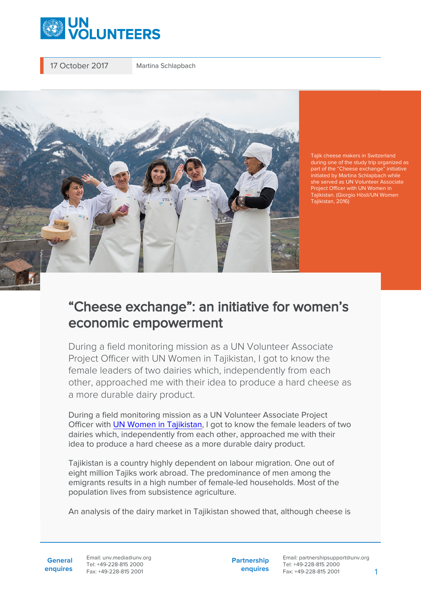

17 October 2017 Martina Schlapbach



Tajik cheese makers in Switzerland during one of the study trip organized as part of the "Cheese exchange" initiative initiated by Martina Schlapbach while she served as UN Volunteer Associate Project Officer with UN Women in Tajikistan. (Giorgio Hösli/UN Women Tajikistan, 2016)

## "Cheese exchange": an initiative for women's economic empowerment

During a field monitoring mission as a UN Volunteer Associate Project Officer with UN Women in Tajikistan, I got to know the female leaders of two dairies which, independently from each other, approached me with their idea to produce a hard cheese as a more durable dairy product.

During a field monitoring mission as a UN Volunteer Associate Project Officer with [UN Women in Tajikistan](https://eca.unwomen.org/en), I got to know the female leaders of two dairies which, independently from each other, approached me with their idea to produce a hard cheese as a more durable dairy product.

Tajikistan is a country highly dependent on labour migration. One out of eight million Tajiks work abroad. The predominance of men among the emigrants results in a high number of female-led households. Most of the population lives from subsistence agriculture.

An analysis of the dairy market in Tajikistan showed that, although cheese is

**General enquires** Email: unv.media@unv.org Tel: +49-228-815 2000 Fax: +49-228-815 2001

**Partnership enquires**

Email: partnershipsupport@unv.org Tel: +49-228-815 2000 Fax: +49-228-815 2001 1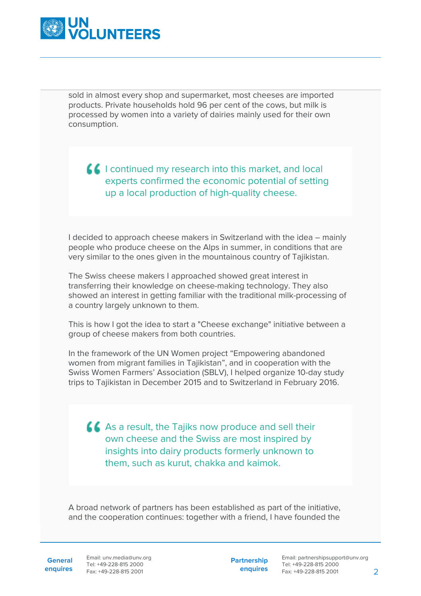

sold in almost every shop and supermarket, most cheeses are imported products. Private households hold 96 per cent of the cows, but milk is processed by women into a variety of dairies mainly used for their own consumption.

**I** continued my research into this market, and local experts confirmed the economic potential of setting up a local production of high-quality cheese.

I decided to approach cheese makers in Switzerland with the idea – mainly people who produce cheese on the Alps in summer, in conditions that are very similar to the ones given in the mountainous country of Tajikistan.

The Swiss cheese makers I approached showed great interest in transferring their knowledge on cheese-making technology. They also showed an interest in getting familiar with the traditional milk-processing of a country largely unknown to them.

This is how I got the idea to start a "Cheese exchange" initiative between a group of cheese makers from both countries.

In the framework of the UN Women project "Empowering abandoned women from migrant families in Tajikistan", and in cooperation with the Swiss Women Farmers' Association (SBLV), I helped organize 10-day study trips to Tajikistan in December 2015 and to Switzerland in February 2016.

As a result, the Tajiks now produce and sell their own cheese and the Swiss are most inspired by insights into dairy products formerly unknown to them, such as kurut, chakka and kaimok.

A broad network of partners has been established as part of the initiative, and the cooperation continues: together with a friend, I have founded the

General Email: unv.media@unv.org **enquires** Tel: +49-228-815 2000 Fax: +49-228-815 2001

**Partnership enquires**

Email: partnershipsupport@unv.org Tel: +49-228-815 2000 Fax: +49-228-815 2001 2